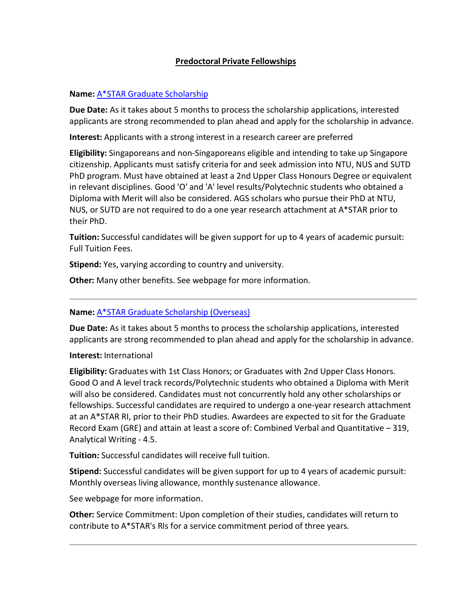## **Predoctoral Private Fellowships**

## **Name:** A\*STAR Graduate [Scholarship](http://www.a-star.edu.sg/Awards-Scholarship/Scholarships-Attachments/For-Graduate-PhD-Studies/A-STAR-Graduate-Scholarship-Singapore.aspx)

**Due Date:** As it takes about 5 months to process the scholarship applications, interested applicants are strong recommended to plan ahead and apply for the scholarship in advance.

**Interest:** Applicants with a strong interest in a research career are preferred

**Eligibility:** Singaporeans and non-Singaporeans eligible and intending to take up Singapore citizenship. Applicants must satisfy criteria for and seek admission into NTU, NUS and SUTD PhD program. Must have obtained at least a 2nd Upper Class Honours Degree or equivalent in relevant disciplines. Good 'O' and 'A' level results/Polytechnic students who obtained a Diploma with Merit will also be considered. AGS scholars who pursue their PhD at NTU, NUS, or SUTD are not required to do a one year research attachment at A\*STAR prior to their PhD.

**Tuition:** Successful candidates will be given support for up to 4 years of academic pursuit: Full Tuition Fees.

**Stipend:** Yes, varying according to country and university.

**Other:** Many other benefits. See webpage for more information.

# **Name:** A\*STAR Graduate [Scholarship](http://www.a-star.edu.sg/Awards-Scholarship/Scholarships-Attachments/For-Graduate-PhD-Studies/A-STAR-Graduate-Scholarship-Overseas.aspx) (Overseas)

**Due Date:** As it takes about 5 months to process the scholarship applications, interested applicants are strong recommended to plan ahead and apply for the scholarship in advance.

## **Interest:** International

**Eligibility:** Graduates with 1st Class Honors; or Graduates with 2nd Upper Class Honors. Good O and A level track records/Polytechnic students who obtained a Diploma with Merit will also be considered. Candidates must not concurrently hold any other scholarships or fellowships. Successful candidates are required to undergo a one-year research attachment at an A\*STAR RI, prior to their PhD studies. Awardees are expected to sit for the Graduate Record Exam (GRE) and attain at least a score of: Combined Verbal and Quantitative – 319, Analytical Writing - 4.5.

**Tuition:** Successful candidates will receive full tuition.

**Stipend:** Successful candidates will be given support for up to 4 years of academic pursuit: Monthly overseas living allowance, monthly sustenance allowance.

See webpage for more information.

**Other:** Service Commitment: Upon completion of their studies, candidates will return to contribute to A\*STAR's RIs for a service commitment period of three years.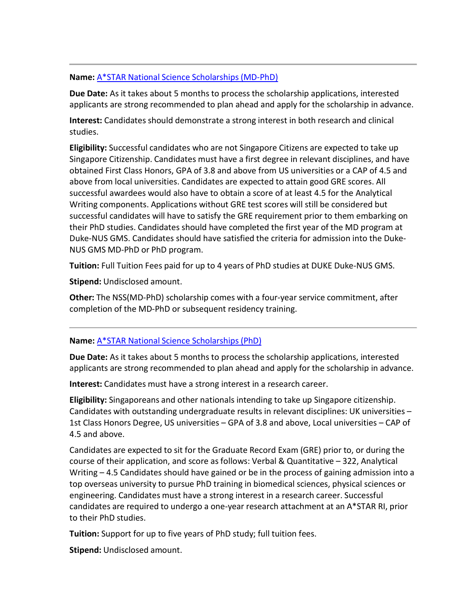#### **Name:** A\*STAR National Science [Scholarships](http://www.a-star.edu.sg/Awards-Scholarship/Scholarships-Attachments/For-Graduate-PhD-Studies/National-Science-Scholarship-MD-PhD.aspx) (MD-PhD)

**Due Date:** As it takes about 5 months to process the scholarship applications, interested applicants are strong recommended to plan ahead and apply for the scholarship in advance.

**Interest:** Candidates should demonstrate a strong interest in both research and clinical studies.

**Eligibility:** Successful candidates who are not Singapore Citizens are expected to take up Singapore Citizenship. Candidates must have a first degree in relevant disciplines, and have obtained First Class Honors, GPA of 3.8 and above from US universities or a CAP of 4.5 and above from local universities. Candidates are expected to attain good GRE scores. All successful awardees would also have to obtain a score of at least 4.5 for the Analytical Writing components. Applications without GRE test scores will still be considered but successful candidates will have to satisfy the GRE requirement prior to them embarking on their PhD studies. Candidates should have completed the first year of the MD program at Duke-NUS GMS. Candidates should have satisfied the criteria for admission into the Duke-NUS GMS MD-PhD or PhD program.

**Tuition:** Full Tuition Fees paid for up to 4 years of PhD studies at DUKE Duke-NUS GMS.

**Stipend:** Undisclosed amount.

**Other:** The NSS(MD-PhD) scholarship comes with a four-year service commitment, after completion of the MD-PhD or subsequent residency training.

### **Name:** A\*STAR National Science [Scholarships](http://www.a-star.edu.sg/Awards-Scholarship/Scholarships-Attachments/For-Graduate-PhD-Studies/National-Science-Scholarship-PhD.aspx) (PhD)

**Due Date:** As it takes about 5 months to process the scholarship applications, interested applicants are strong recommended to plan ahead and apply for the scholarship in advance.

**Interest:** Candidates must have a strong interest in a research career.

**Eligibility:** Singaporeans and other nationals intending to take up Singapore citizenship. Candidates with outstanding undergraduate results in relevant disciplines: UK universities – 1st Class Honors Degree, US universities – GPA of 3.8 and above, Local universities – CAP of 4.5 and above.

Candidates are expected to sit for the Graduate Record Exam (GRE) prior to, or during the course of their application, and score as follows: Verbal & Quantitative – 322, Analytical Writing – 4.5 Candidates should have gained or be in the process of gaining admission into a top overseas university to pursue PhD training in biomedical sciences, physical sciences or engineering. Candidates must have a strong interest in a research career. Successful candidates are required to undergo a one-year research attachment at an A\*STAR RI, prior to their PhD studies.

**Tuition:** Support for up to five years of PhD study; full tuition fees.

**Stipend:** Undisclosed amount.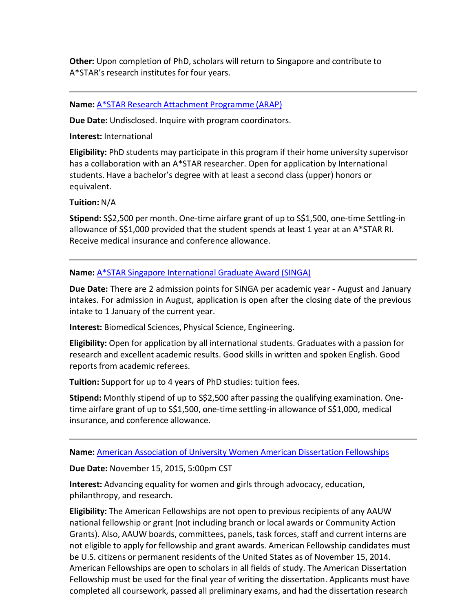**Other:** Upon completion of PhD, scholars will return to Singapore and contribute to A\*STAR's research institutes for four years.

## **Name:** A\*STAR Research [Attachment](http://www.a-star.edu.sg/Awards-Scholarship/Scholarships-Attachments/For-Graduate-PhD-Studies/A-STAR-Research-Attachment-Programme.aspx) Programme (ARAP)

**Due Date:** Undisclosed. Inquire with program coordinators.

**Interest:** International

**Eligibility:** PhD students may participate in this program if their home university supervisor has a collaboration with an A\*STAR researcher. Open for application by International students. Have a bachelor's degree with at least a second class (upper) honors or equivalent.

**Tuition:** N/A

**Stipend:** S\$2,500 per month. One-time airfare grant of up to S\$1,500, one-time Settling-in allowance of S\$1,000 provided that the student spends at least 1 year at an A\*STAR RI. Receive medical insurance and conference allowance.

### **Name:** A\*STAR Singapore [International](http://www.a-star.edu.sg/Awards-Scholarship/Scholarships-Attachments/For-Graduate-PhD-Studies/Singapore-International-Graduate-Award.aspx) Graduate Award (SINGA)

**Due Date:** There are 2 admission points for SINGA per academic year - August and January intakes. For admission in August, application is open after the closing date of the previous intake to 1 January of the current year.

**Interest:** Biomedical Sciences, Physical Science, Engineering.

**Eligibility:** Open for application by all international students. Graduates with a passion for research and excellent academic results. Good skills in written and spoken English. Good reports from academic referees.

**Tuition:** Support for up to 4 years of PhD studies: tuition fees.

**Stipend:** Monthly stipend of up to S\$2,500 after passing the qualifying examination. Onetime airfare grant of up to S\$1,500, one-time settling-in allowance of S\$1,000, medical insurance, and conference allowance.

**Name:** American Association of University Women American [Dissertation](http://aauw-amdissert.scholarsapply.org/default.aspx) Fellowships

**Due Date:** November 15, 2015, 5:00pm CST

**Interest:** Advancing equality for women and girls through advocacy, education, philanthropy, and research.

**Eligibility:** The American Fellowships are not open to previous recipients of any AAUW national fellowship or grant (not including branch or local awards or Community Action Grants). Also, AAUW boards, committees, panels, task forces, staff and current interns are not eligible to apply for fellowship and grant awards. American Fellowship candidates must be U.S. citizens or permanent residents of the United States as of November 15, 2014. American Fellowships are open to scholars in all fields of study. The American Dissertation Fellowship must be used for the final year of writing the dissertation. Applicants must have completed all coursework, passed all preliminary exams, and had the dissertation research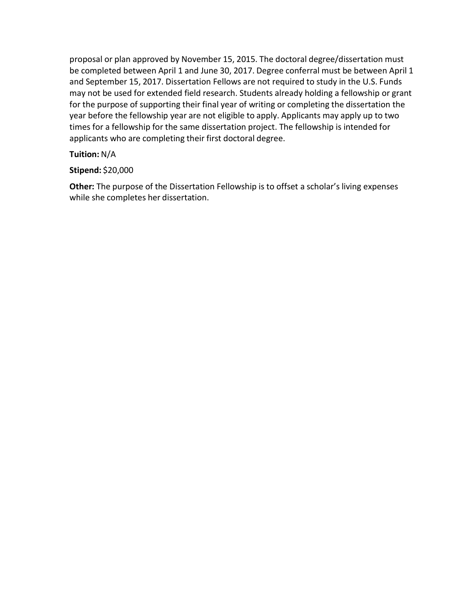proposal or plan approved by November 15, 2015. The doctoral degree/dissertation must be completed between April 1 and June 30, 2017. Degree conferral must be between April 1 and September 15, 2017. Dissertation Fellows are not required to study in the U.S. Funds may not be used for extended field research. Students already holding a fellowship or grant for the purpose of supporting their final year of writing or completing the dissertation the year before the fellowship year are not eligible to apply. Applicants may apply up to two times for a fellowship for the same dissertation project. The fellowship is intended for applicants who are completing their first doctoral degree.

## **Tuition:** N/A

## **Stipend:** \$20,000

**Other:** The purpose of the Dissertation Fellowship is to offset a scholar's living expenses while she completes her dissertation.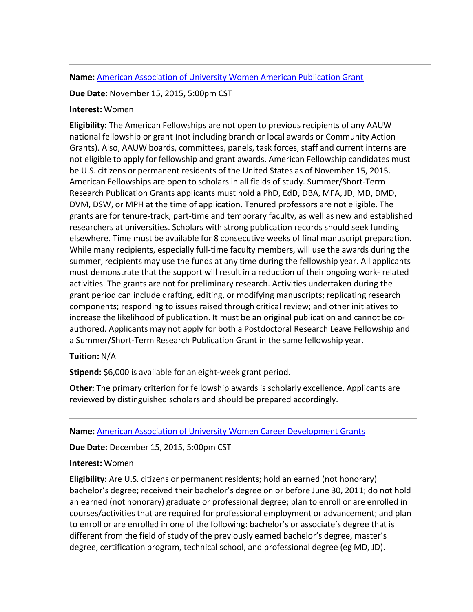#### **Name:** American [Association](http://aauw-ampub.scholarsapply.org/) of University Women American Publication Grant

### **Due Date**: November 15, 2015, 5:00pm CST

#### **Interest:** Women

**Eligibility:** The American Fellowships are not open to previous recipients of any AAUW national fellowship or grant (not including branch or local awards or Community Action Grants). Also, AAUW boards, committees, panels, task forces, staff and current interns are not eligible to apply for fellowship and grant awards. American Fellowship candidates must be U.S. citizens or permanent residents of the United States as of November 15, 2015. American Fellowships are open to scholars in all fields of study. Summer/Short-Term Research Publication Grants applicants must hold a PhD, EdD, DBA, MFA, JD, MD, DMD, DVM, DSW, or MPH at the time of application. Tenured professors are not eligible. The grants are for tenure-track, part-time and temporary faculty, as well as new and established researchers at universities. Scholars with strong publication records should seek funding elsewhere. Time must be available for 8 consecutive weeks of final manuscript preparation. While many recipients, especially full-time faculty members, will use the awards during the summer, recipients may use the funds at any time during the fellowship year. All applicants must demonstrate that the support will result in a reduction of their ongoing work- related activities. The grants are not for preliminary research. Activities undertaken during the grant period can include drafting, editing, or modifying manuscripts; replicating research components; responding to issues raised through critical review; and other initiatives to increase the likelihood of publication. It must be an original publication and cannot be coauthored. Applicants may not apply for both a Postdoctoral Research Leave Fellowship and a Summer/Short-Term Research Publication Grant in the same fellowship year.

### **Tuition:** N/A

**Stipend:** \$6,000 is available for an eight-week grant period.

**Other:** The primary criterion for fellowship awards is scholarly excellence. Applicants are reviewed by distinguished scholars and should be prepared accordingly.

## **Name:** American Association of University Women Career [Development](https://aauw-cdg.scholarsapply.org/) Grants

**Due Date:** December 15, 2015, 5:00pm CST

### **Interest:** Women

**Eligibility:** Are U.S. citizens or permanent residents; hold an earned (not honorary) bachelor's degree; received their bachelor's degree on or before June 30, 2011; do not hold an earned (not honorary) graduate or professional degree; plan to enroll or are enrolled in courses/activities that are required for professional employment or advancement; and plan to enroll or are enrolled in one of the following: bachelor's or associate's degree that is different from the field of study of the previously earned bachelor's degree, master's degree, certification program, technical school, and professional degree (eg MD, JD).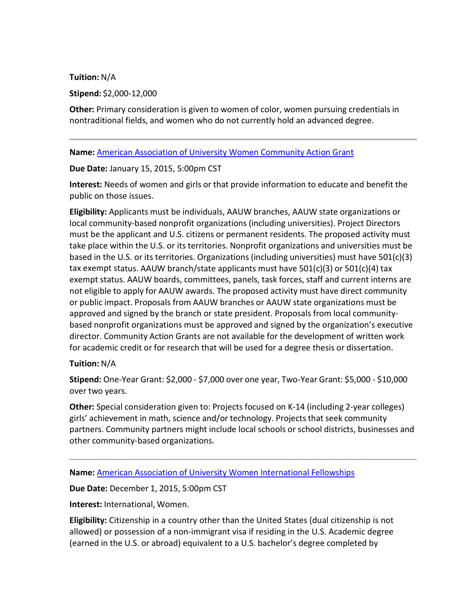**Tuition:** N/A

**Stipend:** \$2,000-12,000

**Other:** Primary consideration is given to women of color, women pursuing credentials in nontraditional fields, and women who do not currently hold an advanced degree.

**Name:** American Association of University Women [Community](https://aauw-cag.scholarsapply.org/) Action Grant

**Due Date:** January 15, 2015, 5:00pm CST

**Interest:** Needs of women and girls or that provide information to educate and benefit the public on those issues.

**Eligibility:** Applicants must be individuals, AAUW branches, AAUW state organizations or local community-based nonprofit organizations (including universities). Project Directors must be the applicant and U.S. citizens or permanent residents. The proposed activity must take place within the U.S. or its territories. Nonprofit organizations and universities must be based in the U.S. or its territories. Organizations (including universities) must have 501(c)(3) tax exempt status. AAUW branch/state applicants must have 501(c)(3) or 501(c)(4) tax exempt status. AAUW boards, committees, panels, task forces, staff and current interns are not eligible to apply for AAUW awards. The proposed activity must have direct community or public impact. Proposals from AAUW branches or AAUW state organizations must be approved and signed by the branch or state president. Proposals from local communitybased nonprofit organizations must be approved and signed by the organization's executive director. Community Action Grants are not available for the development of written work for academic credit or for research that will be used for a degree thesis or dissertation.

### **Tuition:** N/A

**Stipend:** One-Year Grant: \$2,000 - \$7,000 over one year, Two-Year Grant: \$5,000 - \$10,000 over two years.

**Other:** Special consideration given to: Projects focused on K-14 (including 2-year colleges) girls' achievement in math, science and/or technology. Projects that seek community partners. Community partners might include local schools or school districts, businesses and other community-based organizations.

**Name:** American Association of University Women [International](http://aauw-international.scholarsapply.org/) Fellowships

**Due Date:** December 1, 2015, 5:00pm CST

**Interest:** International, Women.

**Eligibility:** Citizenship in a country other than the United States (dual citizenship is not allowed) or possession of a non-immigrant visa if residing in the U.S. Academic degree (earned in the U.S. or abroad) equivalent to a U.S. bachelor's degree completed by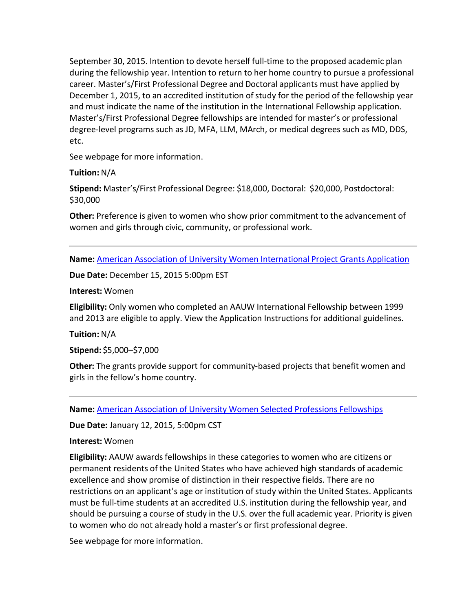September 30, 2015. Intention to devote herself full-time to the proposed academic plan during the fellowship year. Intention to return to her home country to pursue a professional career. Master's/First Professional Degree and Doctoral applicants must have applied by December 1, 2015, to an accredited institution of study for the period of the fellowship year and must indicate the name of the institution in the International Fellowship application. Master's/First Professional Degree fellowships are intended for master's or professional degree-level programs such as JD, MFA, LLM, MArch, or medical degrees such as MD, DDS, etc.

See webpage for more information.

**Tuition:** N/A

**Stipend:** Master's/First Professional Degree: \$18,000, Doctoral: \$20,000, Postdoctoral: \$30,000

**Other:** Preference is given to women who show prior commitment to the advancement of women and girls through civic, community, or professional work.

**Name:** American Association of University Women [International](http://www.aauw.org/resource/apply-for-an-international-project-grant/) Project Grants Application

**Due Date:** December 15, 2015 5:00pm EST

**Interest:** Women

**Eligibility:** Only women who completed an AAUW International Fellowship between 1999 and 2013 are eligible to apply. View the Application Instructions for additional guidelines.

**Tuition:** N/A

**Stipend:** \$5,000–\$7,000

**Other:** The grants provide support for community-based projects that benefit women and girls in the fellow's home country.

**Name:** American Association of University Women Selected Professions [Fellowships](https://aauw-spf.scholarsapply.org/default.aspx)

**Due Date:** January 12, 2015, 5:00pm CST

**Interest:** Women

**Eligibility:** AAUW awardsfellowships in these categories to women who are citizens or permanent residents of the United States who have achieved high standards of academic excellence and show promise of distinction in their respective fields. There are no restrictions on an applicant's age or institution of study within the United States. Applicants must be full-time students at an accredited U.S. institution during the fellowship year, and should be pursuing a course of study in the U.S. over the full academic year. Priority is given to women who do not already hold a master's or first professional degree.

See webpage for more information.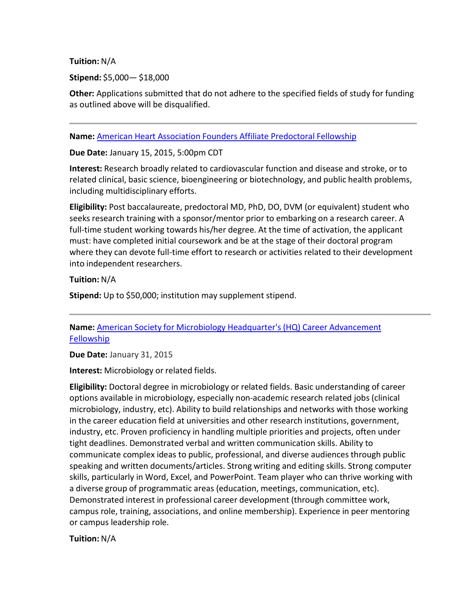**Tuition:** N/A

**Stipend:** \$5,000— \$18,000

**Other:** Applications submitted that do not adhere to the specified fields of study for funding as outlined above will be disqualified.

**Name:** American Heart Association Founders Affiliate [Predoctoral](http://my.americanheart.org/professional/Research/FundingOpportunities/ForScientists/Winter-2015----Predoctoral-Fellowship_UCM_443316_Article.jsp) Fellowship

**Due Date:** January 15, 2015, 5:00pm CDT

**Interest:** Research broadly related to cardiovascular function and disease and stroke, or to related clinical, basic science, bioengineering or biotechnology, and public health problems, including multidisciplinary efforts.

**Eligibility:** Post baccalaureate, predoctoral MD, PhD, DO, DVM (or equivalent) student who seeks research training with a sponsor/mentor prior to embarking on a research career. A full-time student working towards his/her degree. At the time of activation, the applicant must: have completed initial coursework and be at the stage of their doctoral program where they can devote full-time effort to research or activities related to their development into independent researchers.

**Tuition:** N/A

**Stipend:** Up to \$50,000; institution may supplement stipend.

**Name:** American Society for Microbiology [Headquarter's](http://www.asm.org/index.php/employment/career-connections/24-education/postdoc-scientist/93269-career-advancement-fellowship) (HQ) Career Advancement **[Fellowship](http://www.asm.org/index.php/employment/career-connections/24-education/postdoc-scientist/93269-career-advancement-fellowship)** 

**Due Date:** January 31, 2015

**Interest:** Microbiology or related fields.

**Eligibility:** Doctoral degree in microbiology or related fields. Basic understanding of career options available in microbiology, especially non-academic research related jobs (clinical microbiology, industry, etc). Ability to build relationships and networks with those working in the career education field at universities and other research institutions, government, industry, etc. Proven proficiency in handling multiple priorities and projects, often under tight deadlines. Demonstrated verbal and written communication skills. Ability to communicate complex ideas to public, professional, and diverse audiences through public speaking and written documents/articles. Strong writing and editing skills. Strong computer skills, particularly in Word, Excel, and PowerPoint. Team player who can thrive working with a diverse group of programmatic areas (education, meetings, communication, etc). Demonstrated interest in professional career development (through committee work, campus role, training, associations, and online membership). Experience in peer mentoring or campus leadership role.

**Tuition:** N/A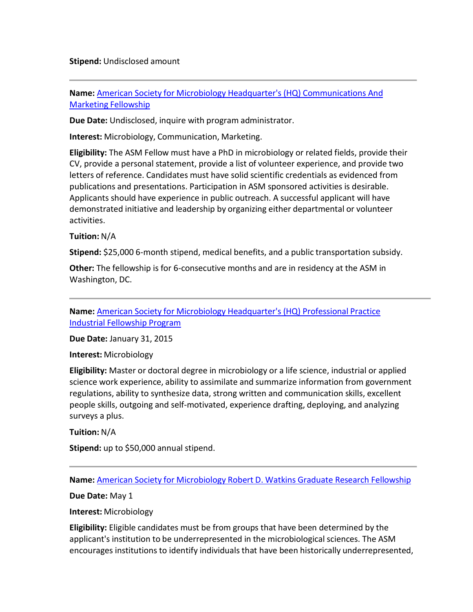**Stipend:** Undisclosed amount

**Name:** American Society for Microbiology Headquarter's (HQ) [Communications](http://www.asm.org/index.php/fellowships-2/24-education/postdoc-scientist/92720-communications-and-marketing-fellowship) And Marketing [Fellowship](http://www.asm.org/index.php/fellowships-2/24-education/postdoc-scientist/92720-communications-and-marketing-fellowship)

**Due Date:** Undisclosed, inquire with program administrator.

**Interest:** Microbiology, Communication, Marketing.

**Eligibility:** The ASM Fellow must have a PhD in microbiology or related fields, provide their CV, provide a personal statement, provide a list of volunteer experience, and provide two letters of reference. Candidates must have solid scientific credentials as evidenced from publications and presentations. Participation in ASM sponsored activities is desirable. Applicants should have experience in public outreach. A successful applicant will have demonstrated initiative and leadership by organizing either departmental or volunteer activities.

## **Tuition:** N/A

**Stipend:** \$25,000 6-month stipend, medical benefits, and a public transportation subsidy.

**Other:** The fellowship is for 6-consecutive months and are in residency at the ASM in Washington, DC.

**Name:** American Society for Microbiology [Headquarter's](https://www.asm.org/index.php/employment/career-connections/24-education/postdoc-scientist/93272-career-advancement-fellowship) (HQ) Professional Practice Industrial [Fellowship](https://www.asm.org/index.php/employment/career-connections/24-education/postdoc-scientist/93272-career-advancement-fellowship) Program

**Due Date:** January 31, 2015

**Interest:** Microbiology

**Eligibility:** Master or doctoral degree in microbiology or a life science, industrial or applied science work experience, ability to assimilate and summarize information from government regulations, ability to synthesize data, strong written and communication skills, excellent people skills, outgoing and self-motivated, experience drafting, deploying, and analyzing surveys a plus.

**Tuition:** N/A

**Stipend:** up to \$50,000 annual stipend.

**Name:** American Society for [Microbiology](http://www.asm.org/index.php/fellowships-2/25-education/students/164-asm-robert-d-watkins-graduate-research-fellowship) Robert D. Watkins Graduate Research Fellowship

**Due Date:** May 1

**Interest:** Microbiology

**Eligibility:** Eligible candidates must be from groups that have been determined by the applicant's institution to be underrepresented in the microbiological sciences. The ASM encourages institutions to identify individuals that have been historically underrepresented,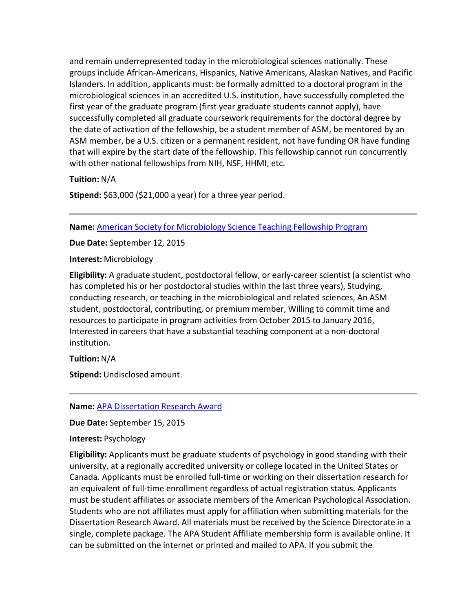and remain underrepresented today in the microbiological sciences nationally. These groups include African-Americans, Hispanics, Native Americans, Alaskan Natives, and Pacific Islanders. In addition, applicants must: be formally admitted to a doctoral program in the microbiological sciences in an accredited U.S. institution, have successfully completed the first year of the graduate program (first year graduate students cannot apply), have successfully completed all graduate coursework requirements for the doctoral degree by the date of activation of the fellowship, be a student member of ASM, be mentored by an ASM member, be a U.S. citizen or a permanent resident, not have funding OR have funding that will expire by the start date of the fellowship. This fellowship cannot run concurrently with other national fellowships from NIH, NSF, HHMI, etc.

**Tuition:** N/A

**Stipend:** \$63,000 (\$21,000 a year) for a three year period.

**Name:** American Society for [Microbiology](http://facultyprograms.org/index.php/stf-program/2014-2015-program-description) Science Teaching Fellowship Program

**Due Date:** September 12, 2015

**Interest:** Microbiology

**Eligibility:** A graduate student, postdoctoral fellow, or early-career scientist (a scientist who has completed his or her postdoctoral studies within the last three years), Studying, conducting research, or teaching in the microbiological and related sciences, An ASM student, postdoctoral, contributing, or premium member, Willing to commit time and resources to participate in program activities from October 2015 to January 2016, Interested in careers that have a substantial teaching component at a non-doctoral institution.

**Tuition:** N/A

**Stipend:** Undisclosed amount.

**Name:** APA [Dissertation](http://www.apa.org/about/awards/scidir-dissertre.aspx) Research Award

**Due Date:** September 15, 2015

**Interest:** Psychology

**Eligibility:** Applicants must be graduate students of psychology in good standing with their university, at a regionally accredited university or college located in the United States or Canada. Applicants must be enrolled full-time or working on their dissertation research for an equivalent of full-time enrollment regardless of actual registration status. Applicants must be student affiliates or associate members of the American Psychological Association. Students who are not affiliates must apply for affiliation when submitting materials for the Dissertation Research Award. All materials must be received by the Science Directorate in a single, complete package. The APA Student Affiliate membership form is available online. It can be submitted on the internet or printed and mailed to APA. If you submit the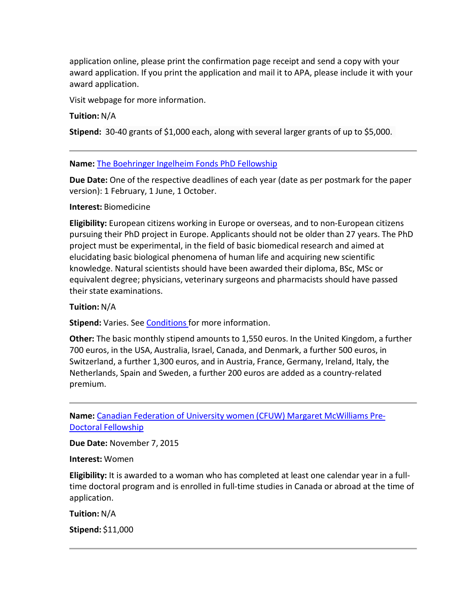application online, please print the confirmation page receipt and send a copy with your award application. If you print the application and mail it to APA, please include it with your award application.

Visit webpage for more information.

#### **Tuition:** N/A

**Stipend:** 30-40 grants of \$1,000 each, along with several larger grants of up to \$5,000.

#### **Name:** The [Boehringer](http://www.bifonds.de/fellowships-grants/phd-fellowships.html) Ingelheim Fonds PhD Fellowship

**Due Date:** One of the respective deadlines of each year (date as per postmark for the paper version): 1 February, 1 June, 1 October.

#### **Interest:** Biomedicine

**Eligibility:** European citizens working in Europe or overseas, and to non-European citizens pursuing their PhD project in Europe. Applicants should not be older than 27 years. The PhD project must be experimental, in the field of basic biomedical research and aimed at elucidating basic biological phenomena of human life and acquiring new scientific knowledge. Natural scientists should have been awarded their diploma, BSc, MSc or equivalent degree; physicians, veterinary surgeons and pharmacists should have passed their state examinations.

#### **Tuition:** N/A

**Stipend:** Varies. See [Conditions](http://www.bifonds.de/fellowships-grants/phd-fellowships/conditions.html) for more information.

**Other:** The basic monthly stipend amounts to 1,550 euros. In the United Kingdom, a further 700 euros, in the USA, Australia, Israel, Canada, and Denmark, a further 500 euros, in Switzerland, a further 1,300 euros, and in Austria, France, Germany, Ireland, Italy, the Netherlands, Spain and Sweden, a further 200 euros are added as a country-related premium.

**Name:** Canadian Federation of University women (CFUW) Margaret [McWilliams](http://www.cfuw.org/en-ca/fellowships/fellowshipsandawards.aspx) Pre-Doctoral [Fellowship](http://www.cfuw.org/en-ca/fellowships/fellowshipsandawards.aspx)

**Due Date:** November 7, 2015

**Interest:** Women

**Eligibility:** It is awarded to a woman who has completed at least one calendar year in a fulltime doctoral program and is enrolled in full-time studies in Canada or abroad at the time of application.

**Tuition:** N/A

**Stipend:** \$11,000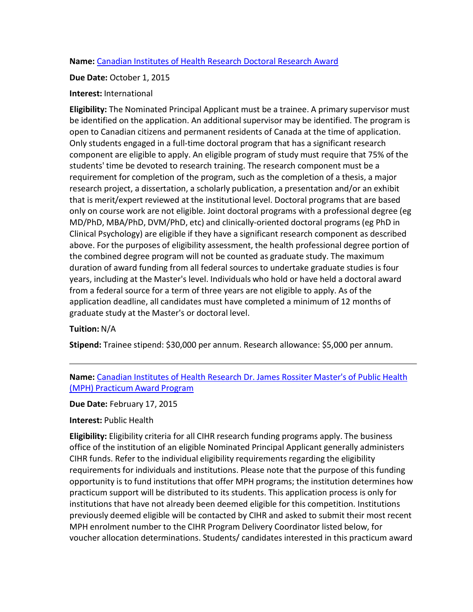## **Name:** Canadian [Institutes](https://www.researchnet-recherchenet.ca/rnr16/vwOpprtntyDtls.do?prog=2097&view=browseActive&progType=CIHR-5&type=EXACT&resultCount=25) of Health Research Doctoral Research Award

### **Due Date:** October 1, 2015

## **Interest:** International

**Eligibility:** The Nominated Principal Applicant must be a trainee. A primary supervisor must be identified on the application. An additional supervisor may be identified. The program is open to Canadian citizens and permanent residents of Canada at the time of application. Only students engaged in a full-time doctoral program that has a significant research component are eligible to apply. An eligible program of study must require that 75% of the students' time be devoted to research training. The research component must be a requirement for completion of the program, such as the completion of a thesis, a major research project, a dissertation, a scholarly publication, a presentation and/or an exhibit that is merit/expert reviewed at the institutional level. Doctoral programs that are based only on course work are not eligible. Joint doctoral programs with a professional degree (eg MD/PhD, MBA/PhD, DVM/PhD, etc) and clinically-oriented doctoral programs (eg PhD in Clinical Psychology) are eligible if they have a significant research component as described above. For the purposes of eligibility assessment, the health professional degree portion of the combined degree program will not be counted as graduate study. The maximum duration of award funding from all federal sources to undertake graduate studies is four years, including at the Master's level. Individuals who hold or have held a doctoral award from a federal source for a term of three years are not eligible to apply. As of the application deadline, all candidates must have completed a minimum of 12 months of graduate study at the Master's or doctoral level.

## **Tuition:** N/A

**Stipend:** Trainee stipend: \$30,000 per annum. Research allowance: \$5,000 per annum.

**Name:** Canadian [Institutes](https://www.researchnet-recherchenet.ca/rnr16/vwOpprtntyDtls.do?prog=2187&view=browseActive&progType=CIHR-9&type=EXACT&resultCount=25) of Health Research Dr. James Rossiter Master's of Public Health (MPH) [Practicum](https://www.researchnet-recherchenet.ca/rnr16/vwOpprtntyDtls.do?prog=2187&view=browseActive&progType=CIHR-9&type=EXACT&resultCount=25) Award Program

**Due Date:** February 17, 2015

### **Interest:** Public Health

**Eligibility:** Eligibility criteria for all CIHR research funding programs apply. The business office of the institution of an eligible Nominated Principal Applicant generally administers CIHR funds. Refer to the individual eligibility requirements regarding the eligibility requirements for individuals and institutions. Please note that the purpose of this funding opportunity is to fund institutions that offer MPH programs; the institution determines how practicum support will be distributed to its students. This application process is only for institutions that have not already been deemed eligible for this competition. Institutions previously deemed eligible will be contacted by CIHR and asked to submit their most recent MPH enrolment number to the CIHR Program Delivery Coordinator listed below, for voucher allocation determinations. Students/ candidates interested in this practicum award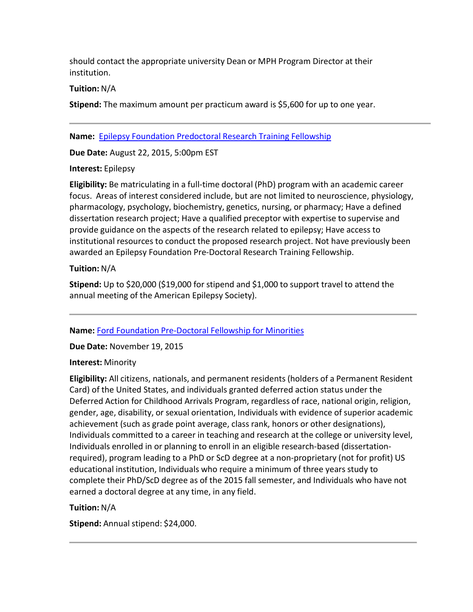should contact the appropriate university Dean or MPH Program Director at their institution.

## **Tuition:** N/A

**Stipend:** The maximum amount per practicum award is \$5,600 for up to one year.

**Name:** Epilepsy Foundation [Predoctoral](http://www.epilepsy.com/accelerating-new-therapies/our-research-program/grant-and-fellowship-opportunities) Research Training Fellowship

**Due Date:** August 22, 2015, 5:00pm EST

### **Interest:** Epilepsy

**Eligibility:** Be matriculating in a full-time doctoral (PhD) program with an academic career focus. Areas of interest considered include, but are not limited to neuroscience, physiology, pharmacology, psychology, biochemistry, genetics, nursing, or pharmacy; Have a defined dissertation research project; Have a qualified preceptor with expertise to supervise and provide guidance on the aspects of the research related to epilepsy; Have access to institutional resources to conduct the proposed research project. Not have previously been awarded an Epilepsy Foundation Pre-Doctoral Research Training Fellowship.

## **Tuition:** N/A

**Stipend:** Up to \$20,000 (\$19,000 for stipend and \$1,000 to support travel to attend the annual meeting of the American Epilepsy Society).

**Name:** Ford Foundation [Pre-Doctoral](http://sites.nationalacademies.org/PGA/FordFellowships/PGA_047958) Fellowship for Minorities

**Due Date:** November 19, 2015

### **Interest:** Minority

**Eligibility:** All citizens, nationals, and permanent residents (holders of a Permanent Resident Card) of the United States, and individuals granted deferred action status under the Deferred Action for Childhood Arrivals Program, regardless of race, national origin, religion, gender, age, disability, or sexual orientation, Individuals with evidence of superior academic achievement (such as grade point average, class rank, honors or other designations), Individuals committed to a career in teaching and research at the college or university level, Individuals enrolled in or planning to enroll in an eligible research-based (dissertationrequired), program leading to a PhD or ScD degree at a non-proprietary (not for profit) US educational institution, Individuals who require a minimum of three years study to complete their PhD/ScD degree as of the 2015 fall semester, and Individuals who have not earned a doctoral degree at any time, in any field.

## **Tuition:** N/A

**Stipend:** Annual stipend: \$24,000.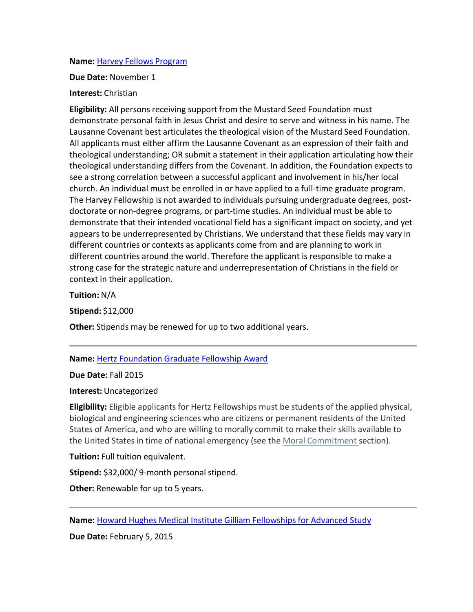#### **Name:** Harvey Fellows [Program](http://msfdn.org/harveyfellows/fellows/)

**Due Date:** November 1

#### **Interest:** Christian

**Eligibility:** All persons receiving support from the Mustard Seed Foundation must demonstrate personal faith in Jesus Christ and desire to serve and witness in his name. The Lausanne Covenant best articulates the theological vision of the Mustard Seed Foundation. All applicants must either affirm the Lausanne Covenant as an expression of their faith and theological understanding; OR submit a statement in their application articulating how their theological understanding differs from the Covenant. In addition, the Foundation expects to see a strong correlation between a successful applicant and involvement in his/her local church. An individual must be enrolled in or have applied to a full-time graduate program. The Harvey Fellowship is not awarded to individuals pursuing undergraduate degrees, postdoctorate or non-degree programs, or part-time studies. An individual must be able to demonstrate that their intended vocational field has a significant impact on society, and yet appears to be underrepresented by Christians. We understand that these fields may vary in different countries or contexts as applicants come from and are planning to work in different countries around the world. Therefore the applicant is responsible to make a strong case for the strategic nature and underrepresentation of Christians in the field or context in their application.

**Tuition:** N/A

**Stipend:** \$12,000

**Other:** Stipends may be renewed for up to two additional years.

**Name:** Hertz [Foundation](http://www.hertzfoundation.org/dx/awards/award.aspx?d=2) Graduate Fellowship Award

**Due Date:** Fall 2015

**Interest:** Uncategorized

**Eligibility:** Eligible applicants for Hertz Fellowships must be students of the applied physical, biological and engineering sciences who are citizens or permanent residents of the United States of America, and who are willing to morally commit to make their skills available to the United States in time of national emergency (see the Moral [Commitment](http://www.hertzfoundation.org/dx/fellowships/commitment.aspx) section).

**Tuition:** Full tuition equivalent.

**Stipend:** \$32,000/9-month personal stipend.

**Other:** Renewable for up to 5 years.

**Name:** Howard Hughes Medical Institute Gilliam [Fellowships](http://www.hhmi.org/programs/gilliam-fellowships-for-advanced-study) for Advanced Study

**Due Date:** February 5, 2015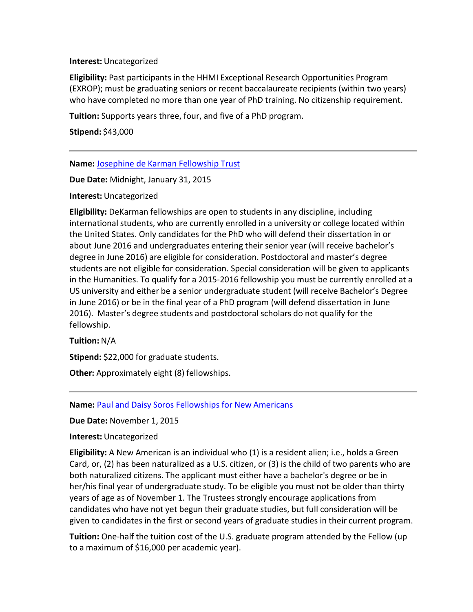#### **Interest:** Uncategorized

**Eligibility:** Past participants in the HHMI Exceptional Research Opportunities Program (EXROP); must be graduating seniors or recent baccalaureate recipients (within two years) who have completed no more than one year of PhD training. No citizenship requirement.

**Tuition:** Supports years three, four, and five of a PhD program.

**Stipend:** \$43,000

**Name:** Josephine de Karman [Fellowship](http://www.dekarman.org/qualifications/) Trust

**Due Date:** Midnight, January 31, 2015

**Interest:** Uncategorized

**Eligibility:** DeKarman fellowships are open to students in any discipline, including international students, who are currently enrolled in a university or college located within the United States. Only candidates for the PhD who will defend their dissertation in or about June 2016 and undergraduates entering their senior year (will receive bachelor's degree in June 2016) are eligible for consideration. Postdoctoral and master's degree students are not eligible for consideration. Special consideration will be given to applicants in the Humanities. To qualify for a 2015-2016 fellowship you must be currently enrolled at a US university and either be a senior undergraduate student (will receive Bachelor's Degree in June 2016) or be in the final year of a PhD program (will defend dissertation in June 2016). Master's degree students and postdoctoral scholars do not qualify for the fellowship.

**Tuition:** N/A

**Stipend:** \$22,000 for graduate students.

**Other:** Approximately eight (8) fellowships.

**Name:** Paul and Daisy Soros [Fellowships](http://www.pdsoros.org/) for New Americans

**Due Date:** November 1, 2015

**Interest:** Uncategorized

**Eligibility:** A New American is an individual who (1) is a resident alien; i.e., holds a Green Card, or, (2) has been naturalized as a U.S. citizen, or (3) is the child of two parents who are both naturalized citizens. The applicant must either have a bachelor's degree or be in her/his final year of undergraduate study. To be eligible you must not be older than thirty years of age as of November 1. The Trustees strongly encourage applications from candidates who have not yet begun their graduate studies, but full consideration will be given to candidates in the first or second years of graduate studies in their current program.

**Tuition:** One-half the tuition cost of the U.S. graduate program attended by the Fellow (up to a maximum of \$16,000 per academic year).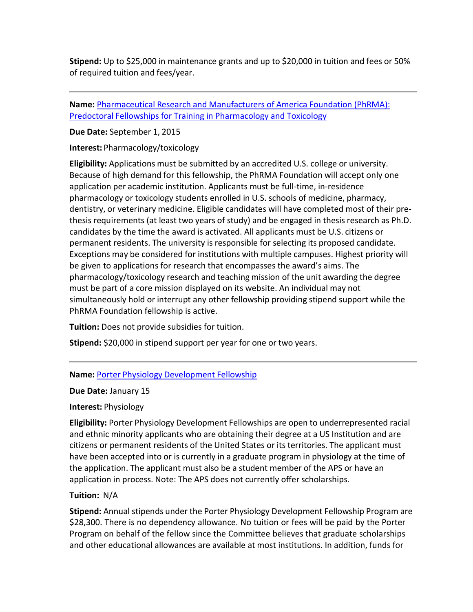**Stipend:** Up to \$25,000 in maintenance grants and up to \$20,000 in tuition and fees or 50% of required tuition and fees/year.

**Name:** [Pharmaceutical](http://www.phrmafoundation.org/2015-awards/pre-doctoral-fellowship-awards/pharmacology-toxicology/) Research and Manufacturers of America Foundation (PhRMA): Predoctoral Fellowships for Training in [Pharmacology](http://www.phrmafoundation.org/2015-awards/pre-doctoral-fellowship-awards/pharmacology-toxicology/) and Toxicology

**Due Date:** September 1, 2015

**Interest:** Pharmacology/toxicology

**Eligibility:** Applications must be submitted by an accredited U.S. college or university. Because of high demand for this fellowship, the PhRMA Foundation will accept only one application per academic institution. Applicants must be full-time, in-residence pharmacology or toxicology students enrolled in U.S. schools of medicine, pharmacy, dentistry, or veterinary medicine. Eligible candidates will have completed most of their prethesis requirements (at least two years of study) and be engaged in thesis research as Ph.D. candidates by the time the award is activated. All applicants must be U.S. citizens or permanent residents. The university is responsible for selecting its proposed candidate. Exceptions may be considered for institutions with multiple campuses. Highest priority will be given to applications for research that encompasses the award's aims. The pharmacology/toxicology research and teaching mission of the unit awarding the degree must be part of a core mission displayed on its website. An individual may not simultaneously hold or interrupt any other fellowship providing stipend support while the PhRMA Foundation fellowship is active.

**Tuition:** Does not provide subsidies for tuition.

**Stipend:** \$20,000 in stipend support per year for one or two years.

## **Name:** Porter Physiology [Development](http://www.the-aps.org/mm/Education/Minority-Program/Educational-Projects/Porter-Physiology-Development-Fellowship/About-the-Porter-Fellowship) Fellowship

**Due Date:** January 15

## **Interest:** Physiology

**Eligibility:** Porter Physiology Development Fellowships are open to underrepresented racial and ethnic minority applicants who are obtaining their degree at a US Institution and are citizens or permanent residents of the United States or its territories. The applicant must have been accepted into or is currently in a graduate program in physiology at the time of the application. The applicant must also be a student member of the APS or have an application in process. Note: The APS does not currently offer scholarships.

## **Tuition:** N/A

**Stipend:** Annual stipends under the Porter Physiology Development Fellowship Program are \$28,300. There is no dependency allowance. No tuition or fees will be paid by the Porter Program on behalf of the fellow since the Committee believes that graduate scholarships and other educational allowances are available at most institutions. In addition, funds for